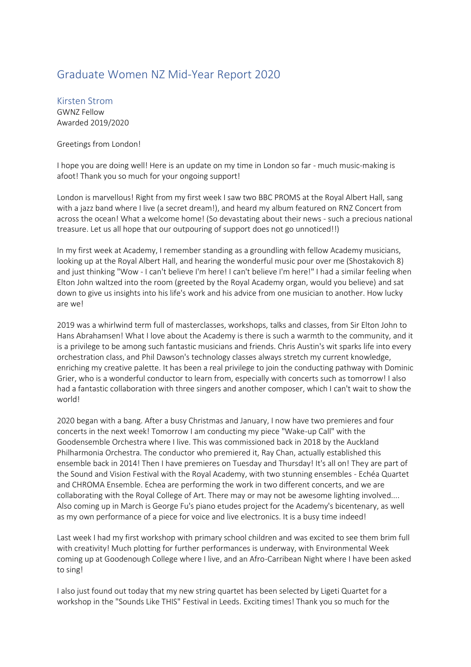## Graduate Women NZ Mid-Year Report 2020

Kirsten Strom GWNZ Fellow Awarded 2019/2020

## Greetings from London!

I hope you are doing well! Here is an update on my time in London so far - much music-making is afoot! Thank you so much for your ongoing support!

London is marvellous! Right from my first week I saw two BBC PROMS at the Royal Albert Hall, sang with a jazz band where I live (a secret dream!), and heard my album featured on RNZ Concert from across the ocean! What a welcome home! (So devastating about their news - such a precious national treasure. Let us all hope that our outpouring of support does not go unnoticed!!)

In my first week at Academy, I remember standing as a groundling with fellow Academy musicians, looking up at the Royal Albert Hall, and hearing the wonderful music pour over me (Shostakovich 8) and just thinking "Wow - I can't believe I'm here! I can't believe I'm here!" I had a similar feeling when Elton John waltzed into the room (greeted by the Royal Academy organ, would you believe) and sat down to give us insights into his life's work and his advice from one musician to another. How lucky are we!

2019 was a whirlwind term full of masterclasses, workshops, talks and classes, from Sir Elton John to Hans Abrahamsen! What I love about the Academy is there is such a warmth to the community, and it is a privilege to be among such fantastic musicians and friends. Chris Austin's wit sparks life into every orchestration class, and Phil Dawson's technology classes always stretch my current knowledge, enriching my creative palette. It has been a real privilege to join the conducting pathway with Dominic Grier, who is a wonderful conductor to learn from, especially with concerts such as tomorrow! I also had a fantastic collaboration with three singers and another composer, which I can't wait to show the world!

2020 began with a bang. After a busy Christmas and January, I now have two premieres and four concerts in the next week! Tomorrow I am conducting my piece "Wake-up Call" with the Goodensemble Orchestra where I live. This was commissioned back in 2018 by the Auckland Philharmonia Orchestra. The conductor who premiered it, Ray Chan, actually established this ensemble back in 2014! Then I have premieres on Tuesday and Thursday! It's all on! They are part of the Sound and Vision Festival with the Royal Academy, with two stunning ensembles - Echéa Quartet and CHROMA Ensemble. Echea are performing the work in two different concerts, and we are collaborating with the Royal College of Art. There may or may not be awesome lighting involved.... Also coming up in March is George Fu's piano etudes project for the Academy's bicentenary, as well as my own performance of a piece for voice and live electronics. It is a busy time indeed!

Last week I had my first workshop with primary school children and was excited to see them brim full with creativity! Much plotting for further performances is underway, with Environmental Week coming up at Goodenough College where I live, and an Afro-Carribean Night where I have been asked to sing!

I also just found out today that my new string quartet has been selected by Ligeti Quartet for a workshop in the "Sounds Like THIS" Festival in Leeds. Exciting times! Thank you so much for the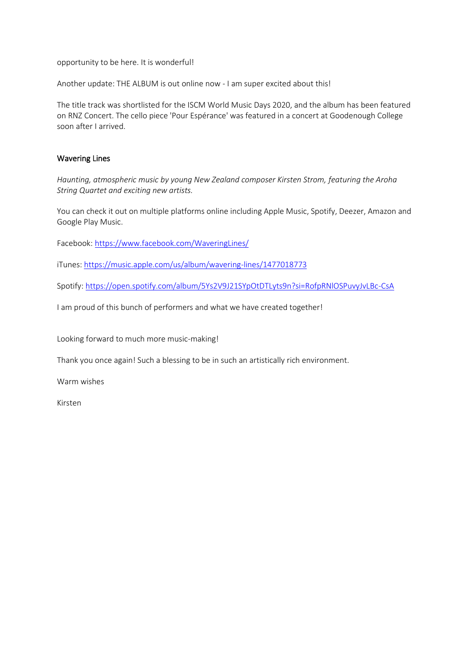opportunity to be here. It is wonderful!

Another update: THE ALBUM is out online now - I am super excited about this!

The title track was shortlisted for the ISCM World Music Days 2020, and the album has been featured on RNZ Concert. The cello piece 'Pour Espérance' was featured in a concert at Goodenough College soon after I arrived.

## Wavering Lines

*Haunting, atmospheric music by young New Zealand composer Kirsten Strom, featuring the Aroha String Quartet and exciting new artists.*

You can check it out on multiple platforms online including Apple Music, Spotify, Deezer, Amazon and Google Play Music.

Facebook:<https://www.facebook.com/WaveringLines/>

iTunes:<https://music.apple.com/us/album/wavering-lines/1477018773>

Spotify:<https://open.spotify.com/album/5Ys2V9J21SYpOtDTLyts9n?si=RofpRNlOSPuvyJvLBc-CsA>

I am proud of this bunch of performers and what we have created together!

Looking forward to much more music-making!

Thank you once again! Such a blessing to be in such an artistically rich environment.

Warm wishes

Kirsten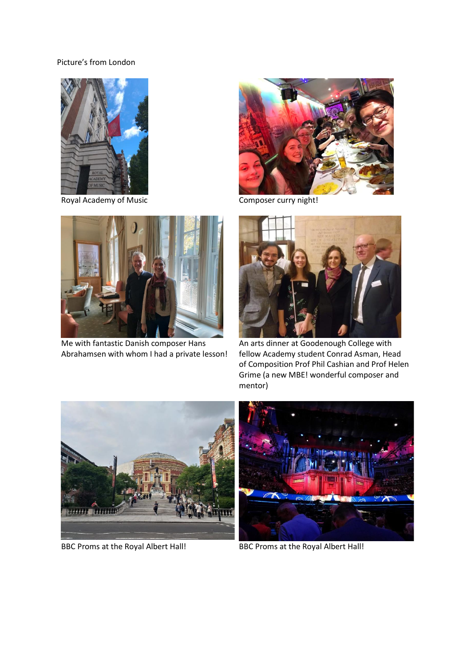## Picture's from London



Royal Academy of Music Composer curry night!



Me with fantastic Danish composer Hans Abrahamsen with whom I had a private lesson!





An arts dinner at Goodenough College with fellow Academy student Conrad Asman, Head of Composition Prof Phil Cashian and Prof Helen Grime (a new MBE! wonderful composer and mentor)



BBC Proms at the Royal Albert Hall! BBC Proms at the Royal Albert Hall!